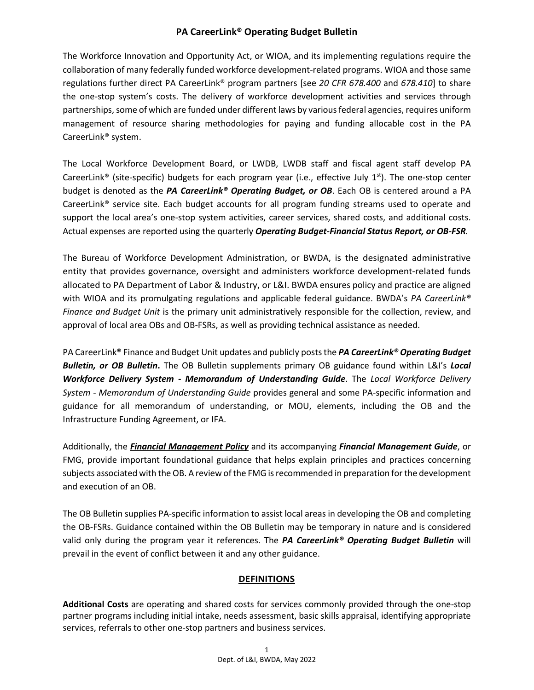The Workforce Innovation and Opportunity Act, or WIOA, and its implementing regulations require the collaboration of many federally funded workforce development-related programs. WIOA and those same regulations further direct PA CareerLink® program partners [see *20 CFR 678.400* and *678.410*] to share the one-stop system's costs. The delivery of workforce development activities and services through partnerships, some of which are funded under different laws by various federal agencies, requires uniform management of resource sharing methodologies for paying and funding allocable cost in the PA CareerLink® system.

The Local Workforce Development Board, or LWDB, LWDB staff and fiscal agent staff develop PA CareerLink<sup>®</sup> (site-specific) budgets for each program year (i.e., effective July  $1<sup>st</sup>$ ). The one-stop center budget is denoted as the *PA CareerLink® Operating Budget, or OB*. Each OB is centered around a PA CareerLink® service site. Each budget accounts for all program funding streams used to operate and support the local area's one-stop system activities, career services, shared costs, and additional costs. Actual expenses are reported using the quarterly *Operating Budget-Financial Status Report, or OB-FSR.*

The Bureau of Workforce Development Administration, or BWDA, is the designated administrative entity that provides governance, oversight and administers workforce development-related funds allocated to PA Department of Labor & Industry, or L&I. BWDA ensures policy and practice are aligned with WIOA and its promulgating regulations and applicable federal guidance. BWDA's *PA CareerLink® Finance and Budget Unit* is the primary unit administratively responsible for the collection, review, and approval of local area OBs and OB-FSRs, as well as providing technical assistance as needed.

PA CareerLink® Finance and Budget Unit updates and publicly posts the *PA CareerLink® Operating Budget Bulletin, or OB Bulletin***.** The OB Bulletin supplements primary OB guidance found within L&I's *Local Workforce Delivery System - Memorandum of Understanding Guide*. The *Local Workforce Delivery System - Memorandum of Understanding Guide* provides general and some PA-specific information and guidance for all memorandum of understanding, or MOU, elements, including the OB and the Infrastructure Funding Agreement, or IFA.

Additionally, the *[Financial Management Policy](https://www.dli.pa.gov/Businesses/Workforce-Development/Pages/Pennsylvania)* and its accompanying *Financial Management Guide*, or FMG, provide important foundational guidance that helps explain principles and practices concerning subjects associated with the OB. A review of the FMG is recommended in preparation for the development and execution of an OB.

The OB Bulletin supplies PA-specific information to assist local areas in developing the OB and completing the OB-FSRs. Guidance contained within the OB Bulletin may be temporary in nature and is considered valid only during the program year it references. The *PA CareerLink® Operating Budget Bulletin* will prevail in the event of conflict between it and any other guidance.

### **DEFINITIONS**

**Additional Costs** are operating and shared costs for services commonly provided through the one-stop partner programs including initial intake, needs assessment, basic skills appraisal, identifying appropriate services, referrals to other one-stop partners and business services.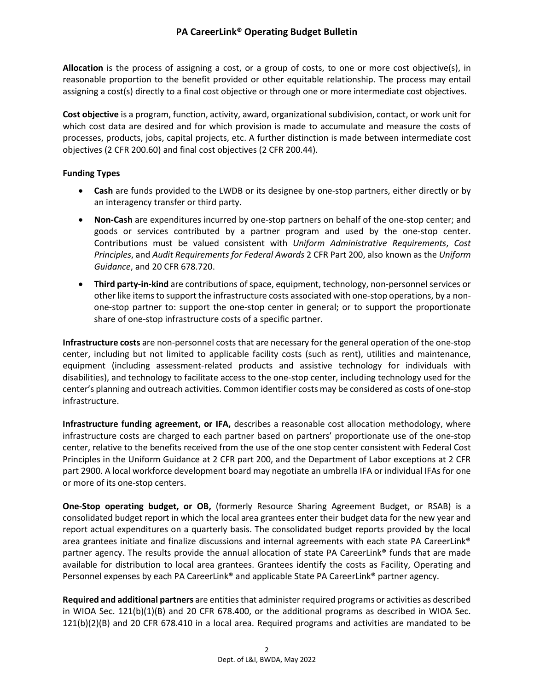**Allocation** is the process of assigning a cost, or a group of costs, to one or more cost objective(s), in reasonable proportion to the benefit provided or other equitable relationship. The process may entail assigning a cost(s) directly to a final cost objective or through one or more intermediate cost objectives.

**Cost objective** is a program, function, activity, award, organizational subdivision, contact, or work unit for which cost data are desired and for which provision is made to accumulate and measure the costs of processes, products, jobs, capital projects, etc. A further distinction is made between intermediate cost objectives (2 CFR 200.60) and final cost objectives (2 CFR 200.44).

#### **Funding Types**

- **Cash** are funds provided to the LWDB or its designee by one-stop partners, either directly or by an interagency transfer or third party.
- **Non-Cash** are expenditures incurred by one-stop partners on behalf of the one-stop center; and goods or services contributed by a partner program and used by the one-stop center. Contributions must be valued consistent with *Uniform Administrative Requirements*, *Cost Principles*, and *Audit Requirements for Federal Awards* 2 CFR Part 200, also known as the *Uniform Guidance*, and 20 CFR 678.720.
- **Third party-in-kind** are contributions of space, equipment, technology, non-personnel services or other like items to support the infrastructure costs associated with one-stop operations, by a nonone-stop partner to: support the one-stop center in general; or to support the proportionate share of one-stop infrastructure costs of a specific partner.

**Infrastructure costs** are non-personnel costs that are necessary for the general operation of the one-stop center, including but not limited to applicable facility costs (such as rent), utilities and maintenance, equipment (including assessment-related products and assistive technology for individuals with disabilities), and technology to facilitate access to the one-stop center, including technology used for the center's planning and outreach activities. Common identifier costs may be considered as costs of one-stop infrastructure.

**Infrastructure funding agreement, or IFA,** describes a reasonable cost allocation methodology, where infrastructure costs are charged to each partner based on partners' proportionate use of the one-stop center, relative to the benefits received from the use of the one stop center consistent with Federal Cost Principles in the Uniform Guidance at 2 CFR part 200, and the Department of Labor exceptions at 2 CFR part 2900. A local workforce development board may negotiate an umbrella IFA or individual IFAs for one or more of its one-stop centers.

**One-Stop operating budget, or OB,** (formerly Resource Sharing Agreement Budget, or RSAB) is a consolidated budget report in which the local area grantees enter their budget data for the new year and report actual expenditures on a quarterly basis. The consolidated budget reports provided by the local area grantees initiate and finalize discussions and internal agreements with each state PA CareerLink® partner agency. The results provide the annual allocation of state PA CareerLink® funds that are made available for distribution to local area grantees. Grantees identify the costs as Facility, Operating and Personnel expenses by each PA CareerLink® and applicable State PA CareerLink® partner agency.

**Required and additional partners** are entities that administer required programs or activities as described in WIOA Sec. 121(b)(1)(B) and 20 CFR 678.400, or the additional programs as described in WIOA Sec. 121(b)(2)(B) and 20 CFR 678.410 in a local area. Required programs and activities are mandated to be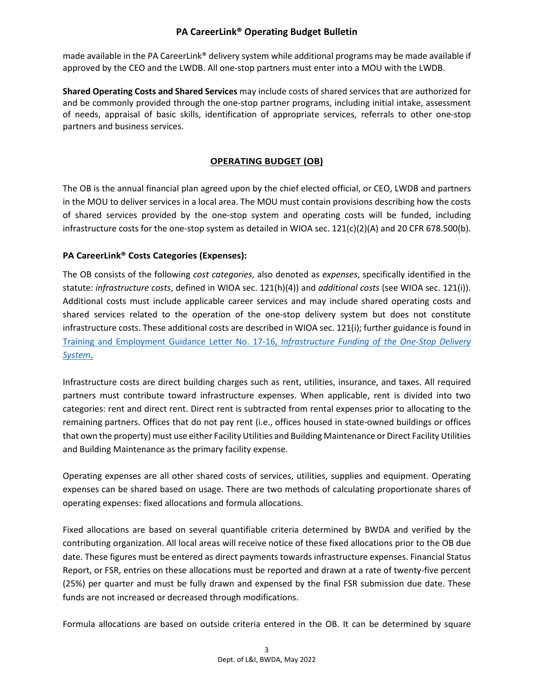made available in the PA CareerLink® delivery system while additional programs may be made available if approved by the CEO and the LWDB. All one-stop partners must enter into a MOU with the LWDB.

**Shared Operating Costs and Shared Services** may include costs of shared services that are authorized for and be commonly provided through the one-stop partner programs, including initial intake, assessment of needs, appraisal of basic skills, identification of appropriate services, referrals to other one-stop partners and business services.

### **OPERATING BUDGET (OB)**

The OB is the annual financial plan agreed upon by the chief elected official, or CEO, LWDB and partners in the MOU to deliver services in a local area. The MOU must contain provisions describing how the costs of shared services provided by the one-stop system and operating costs will be funded, including infrastructure costs for the one-stop system as detailed in WIOA sec.  $121(c)(2)(A)$  and 20 CFR 678.500(b).

### **PA CareerLink® Costs Categories (Expenses):**

The OB consists of the following *cost categories*, also denoted as *expenses*, specifically identified in the statute: *infrastructure costs*, defined in WIOA sec. 121(h)(4)) and *additional costs* (see WIOA sec. 121(i)). Additional costs must include applicable career services and may include shared operating costs and shared services related to the operation of the one-stop delivery system but does not constitute infrastructure costs. These additional costs are described in WIOA sec. 121(i); further guidance is found in [Training and Employment Guidance Letter No. 17-16,](https://wdr.doleta.gov/directives/corr_doc.cfm?DOCN=4968) *Infrastructure Funding of the One-Stop Delivery [System](https://wdr.doleta.gov/directives/corr_doc.cfm?DOCN=4968)*.

Infrastructure costs are direct building charges such as rent, utilities, insurance, and taxes. All required partners must contribute toward infrastructure expenses. When applicable, rent is divided into two categories: rent and direct rent. Direct rent is subtracted from rental expenses prior to allocating to the remaining partners. Offices that do not pay rent (i.e., offices housed in state-owned buildings or offices that own the property) must use either Facility Utilities and Building Maintenance or Direct Facility Utilities and Building Maintenance as the primary facility expense.

Operating expenses are all other shared costs of services, utilities, supplies and equipment. Operating expenses can be shared based on usage. There are two methods of calculating proportionate shares of operating expenses: fixed allocations and formula allocations.

Fixed allocations are based on several quantifiable criteria determined by BWDA and verified by the contributing organization. All local areas will receive notice of these fixed allocations prior to the OB due date. These figures must be entered as direct payments towards infrastructure expenses. Financial Status Report, or FSR, entries on these allocations must be reported and drawn at a rate of twenty-five percent (25%) per quarter and must be fully drawn and expensed by the final FSR submission due date. These funds are not increased or decreased through modifications.

Formula allocations are based on outside criteria entered in the OB. It can be determined by square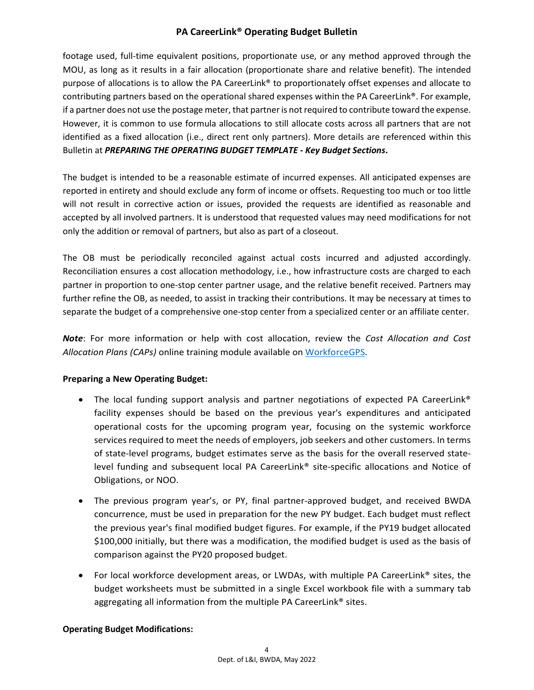footage used, full-time equivalent positions, proportionate use, or any method approved through the MOU, as long as it results in a fair allocation (proportionate share and relative benefit). The intended purpose of allocations is to allow the PA CareerLink® to proportionately offset expenses and allocate to contributing partners based on the operational shared expenses within the PA CareerLink®. For example, if a partner does not use the postage meter, that partner is not required to contribute toward the expense. However, it is common to use formula allocations to still allocate costs across all partners that are not identified as a fixed allocation (i.e., direct rent only partners). More details are referenced within this Bulletin at *PREPARING THE OPERATING BUDGET TEMPLATE - Key Budget Sections***.**

The budget is intended to be a reasonable estimate of incurred expenses. All anticipated expenses are reported in entirety and should exclude any form of income or offsets. Requesting too much or too little will not result in corrective action or issues, provided the requests are identified as reasonable and accepted by all involved partners. It is understood that requested values may need modifications for not only the addition or removal of partners, but also as part of a closeout.

The OB must be periodically reconciled against actual costs incurred and adjusted accordingly. Reconciliation ensures a cost allocation methodology, i.e., how infrastructure costs are charged to each partner in proportion to one-stop center partner usage, and the relative benefit received. Partners may further refine the OB, as needed, to assist in tracking their contributions. It may be necessary at times to separate the budget of a comprehensive one-stop center from a specialized center or an affiliate center.

*Note*: For more information or help with cost allocation, review the *Cost Allocation and Cost Allocation Plans (CAPs)* online training module available on [WorkforceGPS.](https://www.workforcegps.org/)

### **Preparing a New Operating Budget:**

- The local funding support analysis and partner negotiations of expected PA CareerLink<sup>®</sup> facility expenses should be based on the previous year's expenditures and anticipated operational costs for the upcoming program year, focusing on the systemic workforce services required to meet the needs of employers, job seekers and other customers. In terms of state-level programs, budget estimates serve as the basis for the overall reserved statelevel funding and subsequent local PA CareerLink® site-specific allocations and Notice of Obligations, or NOO.
- The previous program year's, or PY, final partner-approved budget, and received BWDA concurrence, must be used in preparation for the new PY budget. Each budget must reflect the previous year's final modified budget figures. For example, if the PY19 budget allocated \$100,000 initially, but there was a modification, the modified budget is used as the basis of comparison against the PY20 proposed budget.
- For local workforce development areas, or LWDAs, with multiple PA CareerLink<sup>®</sup> sites, the budget worksheets must be submitted in a single Excel workbook file with a summary tab aggregating all information from the multiple PA CareerLink® sites.

#### **Operating Budget Modifications:**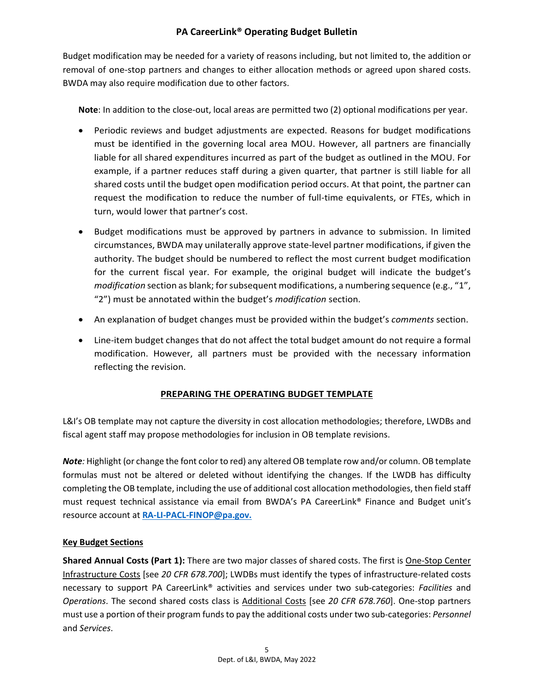Budget modification may be needed for a variety of reasons including, but not limited to, the addition or removal of one-stop partners and changes to either allocation methods or agreed upon shared costs. BWDA may also require modification due to other factors.

**Note**: In addition to the close-out, local areas are permitted two (2) optional modifications per year.

- Periodic reviews and budget adjustments are expected. Reasons for budget modifications must be identified in the governing local area MOU. However, all partners are financially liable for all shared expenditures incurred as part of the budget as outlined in the MOU. For example, if a partner reduces staff during a given quarter, that partner is still liable for all shared costs until the budget open modification period occurs. At that point, the partner can request the modification to reduce the number of full-time equivalents, or FTEs, which in turn, would lower that partner's cost.
- Budget modifications must be approved by partners in advance to submission. In limited circumstances, BWDA may unilaterally approve state-level partner modifications, if given the authority. The budget should be numbered to reflect the most current budget modification for the current fiscal year. For example, the original budget will indicate the budget's *modification* section as blank; for subsequent modifications, a numbering sequence (e.g., "1", "2") must be annotated within the budget's *modification* section.
- An explanation of budget changes must be provided within the budget's *comments* section.
- Line-item budget changes that do not affect the total budget amount do not require a formal modification. However, all partners must be provided with the necessary information reflecting the revision.

### **PREPARING THE OPERATING BUDGET TEMPLATE**

L&I's OB template may not capture the diversity in cost allocation methodologies; therefore, LWDBs and fiscal agent staff may propose methodologies for inclusion in OB template revisions.

*Note:* Highlight (or change the font color to red) any altered OB template row and/or column. OB template formulas must not be altered or deleted without identifying the changes. If the LWDB has difficulty completing the OB template, including the use of additional cost allocation methodologies, then field staff must request technical assistance via email from BWDA's PA CareerLink® Finance and Budget unit's resource account at **[RA-LI-PACL-FINOP@pa.gov.](mailto:RA-LI-PACL-FINOP@pa.gov)**

### **Key Budget Sections**

**Shared Annual Costs (Part 1):** There are two major classes of shared costs. The first is One-Stop Center Infrastructure Costs [see *20 CFR 678.700*]; LWDBs must identify the types of infrastructure-related costs necessary to support PA CareerLink® activities and services under two sub-categories: *Facilities* and *Operations*. The second shared costs class is Additional Costs [see *20 CFR 678.760*]. One-stop partners must use a portion of their program funds to pay the additional costs under two sub-categories: *Personnel* and *Services*.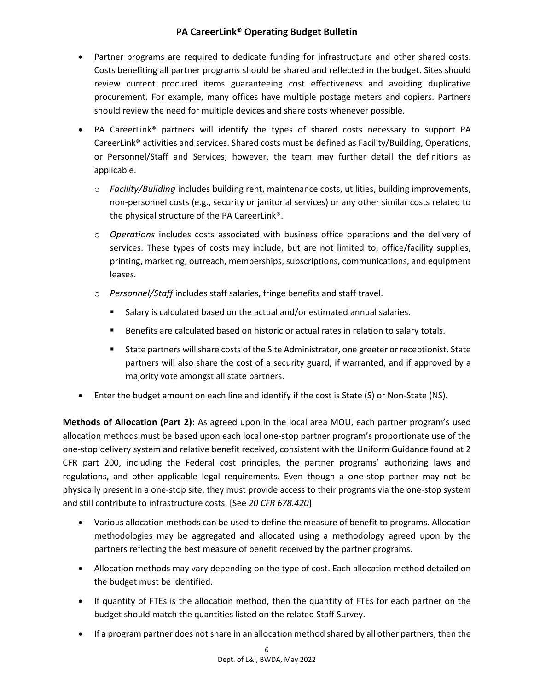- Partner programs are required to dedicate funding for infrastructure and other shared costs. Costs benefiting all partner programs should be shared and reflected in the budget. Sites should review current procured items guaranteeing cost effectiveness and avoiding duplicative procurement. For example, many offices have multiple postage meters and copiers. Partners should review the need for multiple devices and share costs whenever possible.
- PA CareerLink® partners will identify the types of shared costs necessary to support PA CareerLink® activities and services. Shared costs must be defined as Facility/Building, Operations, or Personnel/Staff and Services; however, the team may further detail the definitions as applicable.
	- o *Facility/Building* includes building rent, maintenance costs, utilities, building improvements, non-personnel costs (e.g., security or janitorial services) or any other similar costs related to the physical structure of the PA CareerLink®.
	- o *Operations* includes costs associated with business office operations and the delivery of services. These types of costs may include, but are not limited to, office/facility supplies, printing, marketing, outreach, memberships, subscriptions, communications, and equipment leases.
	- o *Personnel/Staff* includes staff salaries, fringe benefits and staff travel.
		- Salary is calculated based on the actual and/or estimated annual salaries.
		- **Benefits are calculated based on historic or actual rates in relation to salary totals.**
		- State partners will share costs of the Site Administrator, one greeter or receptionist. State partners will also share the cost of a security guard, if warranted, and if approved by a majority vote amongst all state partners.
- Enter the budget amount on each line and identify if the cost is State (S) or Non-State (NS).

**Methods of Allocation (Part 2):** As agreed upon in the local area MOU, each partner program's used allocation methods must be based upon each local one-stop partner program's proportionate use of the one-stop delivery system and relative benefit received, consistent with the Uniform Guidance found at 2 CFR part 200, including the Federal cost principles, the partner programs' authorizing laws and regulations, and other applicable legal requirements. Even though a one-stop partner may not be physically present in a one-stop site, they must provide access to their programs via the one-stop system and still contribute to infrastructure costs. [See *20 CFR 678.420*]

- Various allocation methods can be used to define the measure of benefit to programs. Allocation methodologies may be aggregated and allocated using a methodology agreed upon by the partners reflecting the best measure of benefit received by the partner programs.
- Allocation methods may vary depending on the type of cost. Each allocation method detailed on the budget must be identified.
- If quantity of FTEs is the allocation method, then the quantity of FTEs for each partner on the budget should match the quantities listed on the related Staff Survey.
- If a program partner does not share in an allocation method shared by all other partners, then the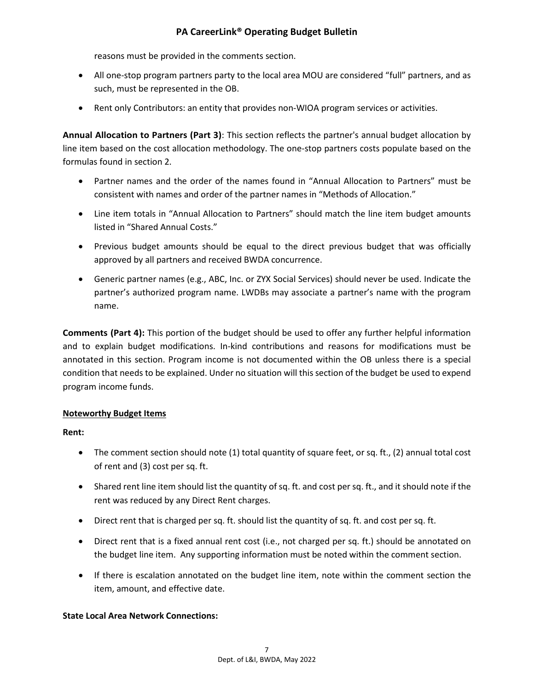reasons must be provided in the comments section.

- All one-stop program partners party to the local area MOU are considered "full" partners, and as such, must be represented in the OB.
- Rent only Contributors: an entity that provides non-WIOA program services or activities.

**Annual Allocation to Partners (Part 3)**: This section reflects the partner's annual budget allocation by line item based on the cost allocation methodology. The one-stop partners costs populate based on the formulas found in section 2.

- Partner names and the order of the names found in "Annual Allocation to Partners" must be consistent with names and order of the partner names in "Methods of Allocation."
- Line item totals in "Annual Allocation to Partners" should match the line item budget amounts listed in "Shared Annual Costs."
- Previous budget amounts should be equal to the direct previous budget that was officially approved by all partners and received BWDA concurrence.
- Generic partner names (e.g., ABC, Inc. or ZYX Social Services) should never be used. Indicate the partner's authorized program name. LWDBs may associate a partner's name with the program name.

**Comments (Part 4):** This portion of the budget should be used to offer any further helpful information and to explain budget modifications. In-kind contributions and reasons for modifications must be annotated in this section. Program income is not documented within the OB unless there is a special condition that needs to be explained. Under no situation will this section of the budget be used to expend program income funds.

### **Noteworthy Budget Items**

#### **Rent:**

- The comment section should note (1) total quantity of square feet, or sq. ft., (2) annual total cost of rent and (3) cost per sq. ft.
- Shared rent line item should list the quantity of sq. ft. and cost per sq. ft., and it should note if the rent was reduced by any Direct Rent charges.
- Direct rent that is charged per sq. ft. should list the quantity of sq. ft. and cost per sq. ft.
- Direct rent that is a fixed annual rent cost (i.e., not charged per sq. ft.) should be annotated on the budget line item. Any supporting information must be noted within the comment section.
- If there is escalation annotated on the budget line item, note within the comment section the item, amount, and effective date.

### **State Local Area Network Connections:**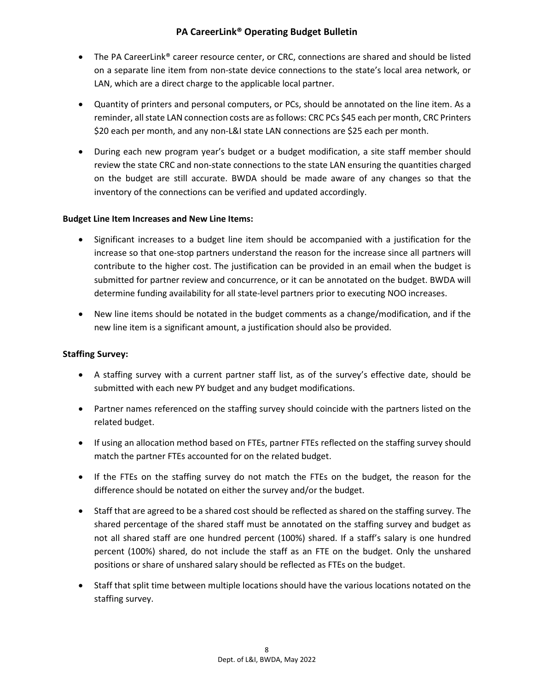- The PA CareerLink<sup>®</sup> career resource center, or CRC, connections are shared and should be listed on a separate line item from non-state device connections to the state's local area network, or LAN, which are a direct charge to the applicable local partner.
- Quantity of printers and personal computers, or PCs, should be annotated on the line item. As a reminder, all state LAN connection costs are as follows: CRC PCs \$45 each per month, CRC Printers \$20 each per month, and any non-L&I state LAN connections are \$25 each per month.
- During each new program year's budget or a budget modification, a site staff member should review the state CRC and non-state connections to the state LAN ensuring the quantities charged on the budget are still accurate. BWDA should be made aware of any changes so that the inventory of the connections can be verified and updated accordingly.

### **Budget Line Item Increases and New Line Items:**

- Significant increases to a budget line item should be accompanied with a justification for the increase so that one-stop partners understand the reason for the increase since all partners will contribute to the higher cost. The justification can be provided in an email when the budget is submitted for partner review and concurrence, or it can be annotated on the budget. BWDA will determine funding availability for all state-level partners prior to executing NOO increases.
- New line items should be notated in the budget comments as a change/modification, and if the new line item is a significant amount, a justification should also be provided.

### **Staffing Survey:**

- A staffing survey with a current partner staff list, as of the survey's effective date, should be submitted with each new PY budget and any budget modifications.
- Partner names referenced on the staffing survey should coincide with the partners listed on the related budget.
- If using an allocation method based on FTEs, partner FTEs reflected on the staffing survey should match the partner FTEs accounted for on the related budget.
- If the FTEs on the staffing survey do not match the FTEs on the budget, the reason for the difference should be notated on either the survey and/or the budget.
- Staff that are agreed to be a shared cost should be reflected as shared on the staffing survey. The shared percentage of the shared staff must be annotated on the staffing survey and budget as not all shared staff are one hundred percent (100%) shared. If a staff's salary is one hundred percent (100%) shared, do not include the staff as an FTE on the budget. Only the unshared positions or share of unshared salary should be reflected as FTEs on the budget.
- Staff that split time between multiple locations should have the various locations notated on the staffing survey.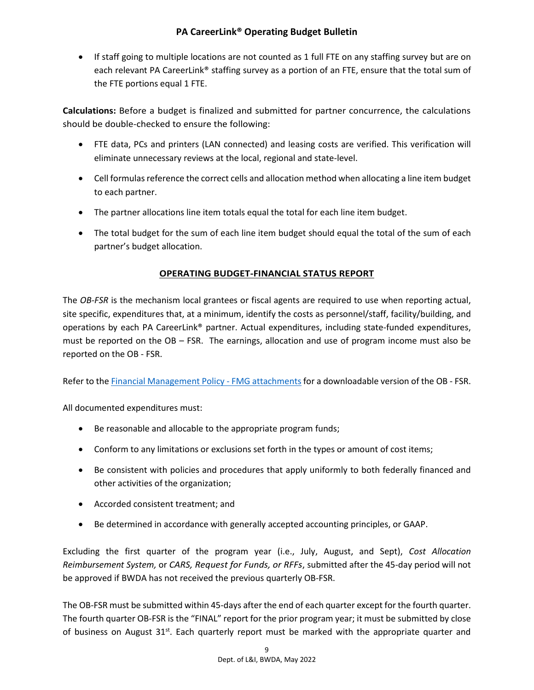• If staff going to multiple locations are not counted as 1 full FTE on any staffing survey but are on each relevant PA CareerLink® staffing survey as a portion of an FTE, ensure that the total sum of the FTE portions equal 1 FTE.

**Calculations:** Before a budget is finalized and submitted for partner concurrence, the calculations should be double-checked to ensure the following:

- FTE data, PCs and printers (LAN connected) and leasing costs are verified. This verification will eliminate unnecessary reviews at the local, regional and state-level.
- Cell formulas reference the correct cells and allocation method when allocating a line item budget to each partner.
- The partner allocations line item totals equal the total for each line item budget.
- The total budget for the sum of each line item budget should equal the total of the sum of each partner's budget allocation.

## **OPERATING BUDGET-FINANCIAL STATUS REPORT**

The *OB-FSR* is the mechanism local grantees or fiscal agents are required to use when reporting actual, site specific, expenditures that, at a minimum, identify the costs as personnel/staff, facility/building, and operations by each PA CareerLink® partner. Actual expenditures, including state-funded expenditures, must be reported on the OB – FSR. The earnings, allocation and use of program income must also be reported on the OB - FSR.

Refer to the [Financial Management Policy -](https://www.dli.pa.gov/Businesses/Workforce-Development/Pages/Pennsylvania) FMG attachments for a downloadable version of the OB - FSR.

All documented expenditures must:

- Be reasonable and allocable to the appropriate program funds;
- Conform to any limitations or exclusions set forth in the types or amount of cost items;
- Be consistent with policies and procedures that apply uniformly to both federally financed and other activities of the organization;
- Accorded consistent treatment; and
- Be determined in accordance with generally accepted accounting principles, or GAAP.

Excluding the first quarter of the program year (i.e., July, August, and Sept), *Cost Allocation Reimbursement System,* or *CARS, Request for Funds, or RFFs*, submitted after the 45-day period will not be approved if BWDA has not received the previous quarterly OB-FSR.

The OB-FSR must be submitted within 45-days after the end of each quarter except for the fourth quarter. The fourth quarter OB-FSR is the "FINAL" report for the prior program year; it must be submitted by close of business on August  $31<sup>st</sup>$ . Each quarterly report must be marked with the appropriate quarter and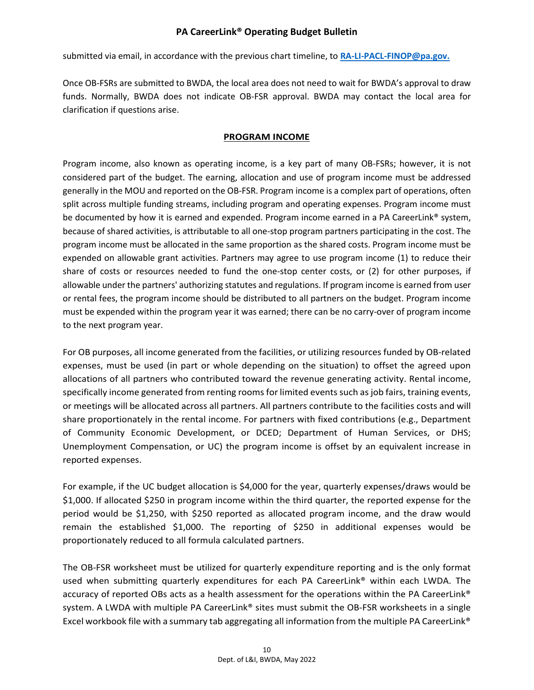submitted via email, in accordance with the previous chart timeline, to **[RA-LI-PACL-FINOP@pa.gov.](mailto:RA-LI-PACL-FINOP@pa.gov)**

Once OB-FSRs are submitted to BWDA, the local area does not need to wait for BWDA's approval to draw funds. Normally, BWDA does not indicate OB-FSR approval. BWDA may contact the local area for clarification if questions arise.

### **PROGRAM INCOME**

Program income, also known as operating income, is a key part of many OB-FSRs; however, it is not considered part of the budget. The earning, allocation and use of program income must be addressed generally in the MOU and reported on the OB-FSR. Program income is a complex part of operations, often split across multiple funding streams, including program and operating expenses. Program income must be documented by how it is earned and expended. Program income earned in a PA CareerLink<sup>®</sup> system, because of shared activities, is attributable to all one-stop program partners participating in the cost. The program income must be allocated in the same proportion as the shared costs. Program income must be expended on allowable grant activities. Partners may agree to use program income (1) to reduce their share of costs or resources needed to fund the one-stop center costs, or (2) for other purposes, if allowable under the partners' authorizing statutes and regulations. If program income is earned from user or rental fees, the program income should be distributed to all partners on the budget. Program income must be expended within the program year it was earned; there can be no carry-over of program income to the next program year.

For OB purposes, all income generated from the facilities, or utilizing resources funded by OB-related expenses, must be used (in part or whole depending on the situation) to offset the agreed upon allocations of all partners who contributed toward the revenue generating activity. Rental income, specifically income generated from renting rooms for limited events such as job fairs, training events, or meetings will be allocated across all partners. All partners contribute to the facilities costs and will share proportionately in the rental income. For partners with fixed contributions (e.g., Department of Community Economic Development, or DCED; Department of Human Services, or DHS; Unemployment Compensation, or UC) the program income is offset by an equivalent increase in reported expenses.

For example, if the UC budget allocation is \$4,000 for the year, quarterly expenses/draws would be \$1,000. If allocated \$250 in program income within the third quarter, the reported expense for the period would be \$1,250, with \$250 reported as allocated program income, and the draw would remain the established \$1,000. The reporting of \$250 in additional expenses would be proportionately reduced to all formula calculated partners.

The OB-FSR worksheet must be utilized for quarterly expenditure reporting and is the only format used when submitting quarterly expenditures for each PA CareerLink® within each LWDA. The accuracy of reported OBs acts as a health assessment for the operations within the PA CareerLink® system. A LWDA with multiple PA CareerLink® sites must submit the OB-FSR worksheets in a single Excel workbook file with a summary tab aggregating all information from the multiple PA CareerLink®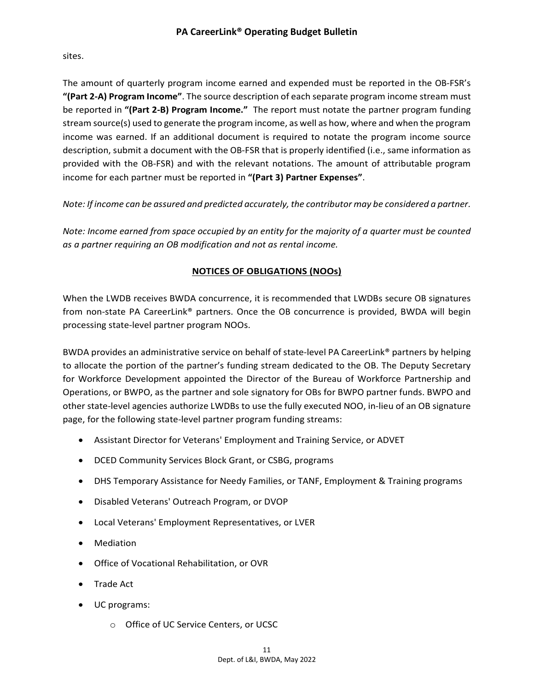sites.

The amount of quarterly program income earned and expended must be reported in the OB-FSR's **"(Part 2-A) Program Income"**. The source description of each separate program income stream must be reported in **"(Part 2-B) Program Income."** The report must notate the partner program funding stream source(s) used to generate the program income, as well as how, where and when the program income was earned. If an additional document is required to notate the program income source description, submit a document with the OB-FSR that is properly identified (i.e., same information as provided with the OB-FSR) and with the relevant notations. The amount of attributable program income for each partner must be reported in **"(Part 3) Partner Expenses"**.

*Note: If income can be assured and predicted accurately, the contributor may be considered a partner.*

*Note: Income earned from space occupied by an entity for the majority of a quarter must be counted as a partner requiring an OB modification and not as rental income.*

## **NOTICES OF OBLIGATIONS (NOOs)**

When the LWDB receives BWDA concurrence, it is recommended that LWDBs secure OB signatures from non-state PA CareerLink® partners. Once the OB concurrence is provided, BWDA will begin processing state-level partner program NOOs.

BWDA provides an administrative service on behalf of state-level PA CareerLink® partners by helping to allocate the portion of the partner's funding stream dedicated to the OB. The Deputy Secretary for Workforce Development appointed the Director of the Bureau of Workforce Partnership and Operations, or BWPO, as the partner and sole signatory for OBs for BWPO partner funds. BWPO and other state-level agencies authorize LWDBs to use the fully executed NOO, in-lieu of an OB signature page, for the following state-level partner program funding streams:

- Assistant Director for Veterans' Employment and Training Service, or ADVET
- DCED Community Services Block Grant, or CSBG, programs
- DHS Temporary Assistance for Needy Families, or TANF, Employment & Training programs
- Disabled Veterans' Outreach Program, or DVOP
- Local Veterans' Employment Representatives, or LVER
- Mediation
- Office of Vocational Rehabilitation, or OVR
- Trade Act
- UC programs:
	- o Office of UC Service Centers, or UCSC